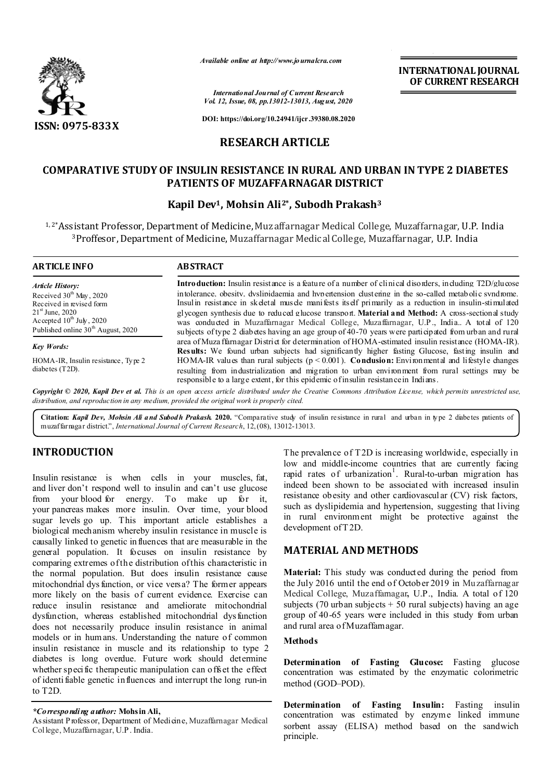

*Available online at http://www.journalcra.com*

**INTERNATIONAL JOURNAL OF CURRENT RESEARCH**

*International Journal of Current Research Vol. 12, Issue, 08, pp.13012-13013, August, 2020*

**DOI: https://doi.org/10.24941/ijcr.39380.08.2020**

## **RESEARCH ARTICLE**

## **COMPARATIVE STUDY OF INSULIN RESISTANCE IN RURAL AND URBAN IN TYPE 2 DIABETES PATIENTS OF MUZAFFARNAGAR DISTRICT**

### **Kapil Dev1, Mohsin Ali2\*, Subodh Prakash3**

1, 2\*Assistant Professor, Department of Medicine, Muzaffarnagar Medical College, Muzaffarnagar, U.P. India 3Proffesor, Department of Medicine, Muzaffarnagar Medical College, Muzaffarnagar, U.P. India

| <b>ARTICLE INFO</b>                            | <b>ABSTRACT</b>                                                                                               |  |  |
|------------------------------------------------|---------------------------------------------------------------------------------------------------------------|--|--|
| <b>Article History:</b>                        | <b>Introduction:</b> Insulin resistance is a feature of a number of clinical disorders, including T2D/glucose |  |  |
| Received $30th$ May, 2020                      | intolerance, obesity, dyslinidaemia and hypertension clustering in the so-called metabolic syndrome.          |  |  |
| Received in revised form                       | Insul in resistance in skeletal muscle manifests itself primarily as a reduction in insulin-stimulated        |  |  |
| $21^{\rm st}$ June, 2020                       | glycogen synthesis due to reduced glucose transport. Material and Method: A cross-sectional study             |  |  |
| Accepted $10^{th}$ July, 2020                  | was conducted in Muzaffarnagar Medical College, Muzaffarnagar, U.P., India. A total of 120                    |  |  |
| Published online 30 <sup>th</sup> August, 2020 | subjects of type 2 diabetes having an age group of 40-70 years were participated from urban and rural         |  |  |
| <b>Key Words:</b>                              | area of Muza ffarnagar District for determination of HOMA-estimated insulin resistance (HOMA-IR).             |  |  |
|                                                | Deauther We found when missions had gianificantly bigher facting Clusses facting inculing and                 |  |  |

HOMA-IR, Insulin resistance , Type 2 diabetes (T2D).

**Results:** We found urban subjects had significantly higher fasting Glucose, fasting insulin and HOMA-IR values than rural subjects (p < 0.001). **Conclusion:** Environmental and lifestyle changes resulting from industrialization and migration to urban environment from rural settings may be responsible to a large extent, for this epidemic of insulin resistance in Indians.

Copyright © 2020, Kapil Dev et al. This is an open access article distributed under the Creative Commons Attribution License, which permits unrestricted use, *distribution, and reproduction in any medium, provided the original work is properly cited.*

**Citation:** *Kapil Dev, Mohsin Ali and Subodh Prakash.* **2020.** "Comparative study of insulin resistance in rural and urban in type 2 diabetes patients of muzaffarnagar district.", *International Journal of Current Research*, 12,(08), 13012-13013.

# **INTRODUCTION**

Insulin resistance is when cells in your muscles, fat, and liver don't respond well to insulin and can't use glucose from your blood for energy. To make up for it, your pancreas makes more insulin. Over time, your blood sugar levels go up. This important article establishes a biological mechanism whereby insulin resistance in muscle is causally linked to genetic in fluences that are measurable in the general population. It focuses on insulin resistance by comparing extremes of the distribution of this characteristic in the normal population. But does insulin resistance cause mitochondrial dys function, or vice versa? The former appears more likely on the basis of current evidence. Exercise can reduce insulin resistance and ameliorate mitochondrial dysfunction, whereas established mitochondrial dysfunction does not necessarily produce insulin resistance in animal models or in humans. Understanding the nature of common insulin resistance in muscle and its relationship to type 2 diabetes is long overdue. Future work should determine whether specific therapeutic manipulation can offset the effect of identi fiable genetic influences and interrupt the long run-in to T2D.

### *\*Corresponding author:* **Mohsin Ali,**

Assistant P rofessor, Department of Medicine, Muzaffarnagar Medical College, Muzaffarnagar, U.P . India.

The prevalence of T2D is increasing worldwide, especially in low and middle-income countries that are currently facing rapid rates of urbanization<sup>1</sup>. Rural-to-urban migration has indeed been shown to be associated with increased insulin resistance obesity and other cardiovascular (CV) risk factors, such as dyslipidemia and hypertension, suggesting that living in rural environment might be protective against the development of T 2D.

## **MATERIAL AND METHODS**

**Material:** This study was conducted during the period from the July 2016 until the end of October 2019 in Muzaffarnagar Medical College, Muzaffarnagar**,** U.P., India. A total of 120 subjects (70 urban subjects + 50 rural subjects) having an age group of 40-65 years were included in this study from urban and rural area of Muzaffarnagar.

### **Methods**

**Determination of Fasting Glucose:** Fasting glucose concentration was estimated by the enzymatic colorimetric method (GOD–POD).

**Determination of Fasting Insulin:** Fasting insulin concentration was estimated by enzyme linked immune sorbent assay (ELISA) method based on the sandwich principle.